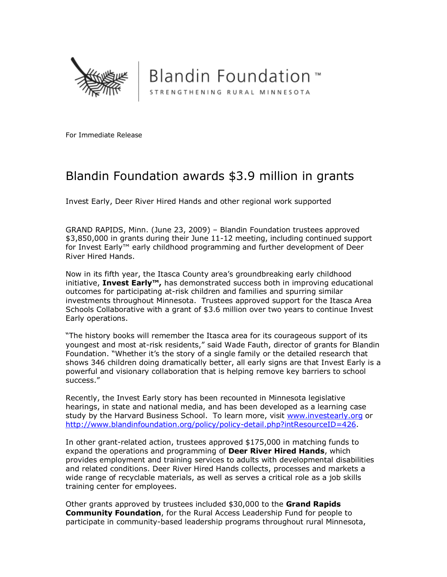

**Blandin Foundation**™ STRENGTHENING RURAL MINNESOTA

For Immediate Release

## Blandin Foundation awards \$3.9 million in grants

Invest Early, Deer River Hired Hands and other regional work supported

GRAND RAPIDS, Minn. (June 23, 2009) – Blandin Foundation trustees approved \$3,850,000 in grants during their June 11-12 meeting, including continued support for Invest Early™ early childhood programming and further development of Deer River Hired Hands.

Now in its fifth year, the Itasca County area's groundbreaking early childhood initiative, Invest Early<sup>™</sup>, has demonstrated success both in improving educational outcomes for participating at-risk children and families and spurring similar investments throughout Minnesota. Trustees approved support for the Itasca Area Schools Collaborative with a grant of \$3.6 million over two years to continue Invest Early operations.

"The history books will remember the Itasca area for its courageous support of its youngest and most at-risk residents," said Wade Fauth, director of grants for Blandin Foundation. "Whether it's the story of a single family or the detailed research that shows 346 children doing dramatically better, all early signs are that Invest Early is a powerful and visionary collaboration that is helping remove key barriers to school success."

Recently, the Invest Early story has been recounted in Minnesota legislative hearings, in state and national media, and has been developed as a learning case study by the Harvard Business School. To learn more, visit www.investearly.org or http://www.blandinfoundation.org/policy/policy-detail.php?intResourceID=426.

In other grant-related action, trustees approved \$175,000 in matching funds to expand the operations and programming of Deer River Hired Hands, which provides employment and training services to adults with developmental disabilities and related conditions. Deer River Hired Hands collects, processes and markets a wide range of recyclable materials, as well as serves a critical role as a job skills training center for employees.

Other grants approved by trustees included \$30,000 to the Grand Rapids **Community Foundation**, for the Rural Access Leadership Fund for people to participate in community-based leadership programs throughout rural Minnesota,